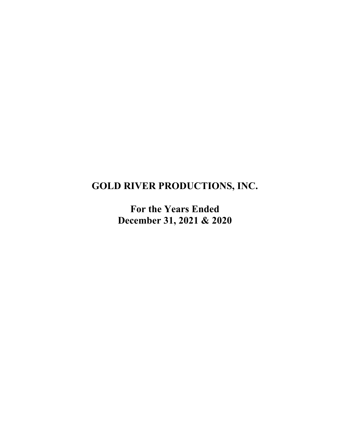# **GOLD RIVER PRODUCTIONS, INC.**

**For the Years Ended December 31, 2021 & 2020**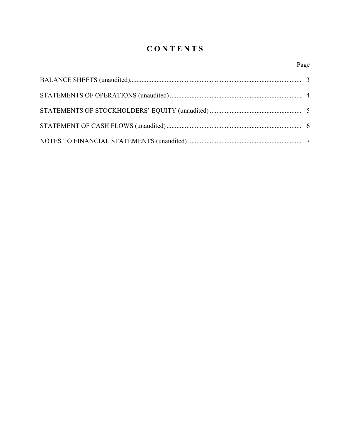# **C O N T E N T S**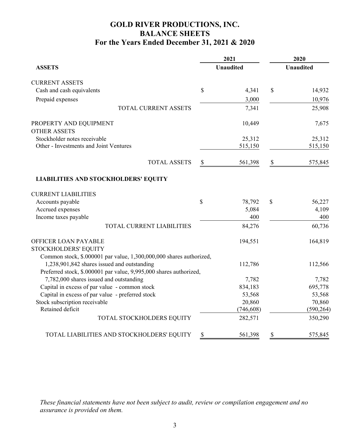# **GOLD RIVER PRODUCTIONS, INC. BALANCE SHEETS For the Years Ended December 31, 2021 & 2020**

|                                                                     |                           | 2021             |                           | 2020             |
|---------------------------------------------------------------------|---------------------------|------------------|---------------------------|------------------|
| <b>ASSETS</b>                                                       |                           | <b>Unaudited</b> |                           | <b>Unaudited</b> |
| <b>CURRENT ASSETS</b>                                               |                           |                  |                           |                  |
| Cash and cash equivalents                                           | \$                        | 4,341            | \$                        | 14,932           |
| Prepaid expenses                                                    |                           | 3,000            |                           | 10,976           |
| TOTAL CURRENT ASSETS                                                |                           | 7,341            |                           | 25,908           |
| PROPERTY AND EQUIPMENT                                              |                           | 10,449           |                           | 7,675            |
| <b>OTHER ASSETS</b>                                                 |                           |                  |                           |                  |
| Stockholder notes receivable                                        |                           | 25,312           |                           | 25,312           |
| Other - Investments and Joint Ventures                              |                           | 515,150          |                           | 515,150          |
| <b>TOTAL ASSETS</b>                                                 | $\boldsymbol{\mathsf{S}}$ | 561,398          | $\boldsymbol{\mathsf{S}}$ | 575,845          |
| <b>LIABILITIES AND STOCKHOLDERS' EQUITY</b>                         |                           |                  |                           |                  |
| <b>CURRENT LIABILITIES</b>                                          |                           |                  |                           |                  |
| Accounts payable                                                    | \$                        | 78,792           | \$                        | 56,227           |
| Accrued expenses                                                    |                           | 5,084            |                           | 4,109            |
| Income taxes payable                                                |                           | 400              |                           | 400              |
| TOTAL CURRENT LIABILITIES                                           |                           | 84,276           |                           | 60,736           |
| OFFICER LOAN PAYABLE                                                |                           | 194,551          |                           | 164,819          |
| STOCKHOLDERS' EQUITY                                                |                           |                  |                           |                  |
| Common stock, \$.000001 par value, 1,300,000,000 shares authorized, |                           |                  |                           |                  |
| 1,238,901,842 shares issued and outstanding                         |                           | 112,786          |                           | 112,566          |
| Preferred stock, \$.000001 par value, 9,995,000 shares authorized,  |                           |                  |                           |                  |
| 7,782,000 shares issued and outstanding                             |                           | 7,782            |                           | 7,782            |
| Capital in excess of par value - common stock                       |                           | 834,183          |                           | 695,778          |
| Capital in excess of par value - preferred stock                    |                           | 53,568           |                           | 53,568           |
| Stock subscription receivable<br>Retained deficit                   |                           | 20,860           |                           | 70,860           |
|                                                                     |                           | (746, 608)       |                           | (590, 264)       |
| TOTAL STOCKHOLDERS EQUITY                                           |                           | 282,571          |                           | 350,290          |
| TOTAL LIABILITIES AND STOCKHOLDERS' EQUITY                          | \$                        | 561,398          | \$                        | 575,845          |

*These financial statements have not been subject to audit, review or compilation engagement and no assurance is provided on them.*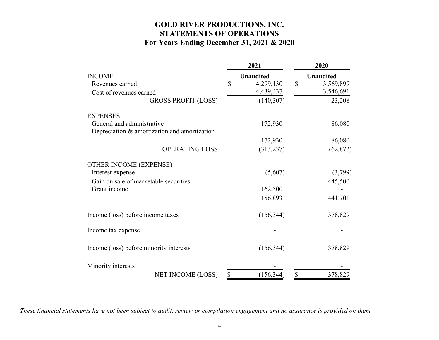# **GOLD RIVER PRODUCTIONS, INC. STATEMENTS OF OPERATIONS For Years Ending December 31, 2021 & 2020**

|                                              | 2021             |               | 2020             |
|----------------------------------------------|------------------|---------------|------------------|
| <b>INCOME</b>                                | <b>Unaudited</b> |               | <b>Unaudited</b> |
| Revenues earned                              | \$<br>4,299,130  | $\mathcal{S}$ | 3,569,899        |
| Cost of revenues earned                      | 4,439,437        |               | 3,546,691        |
| <b>GROSS PROFIT (LOSS)</b>                   | (140, 307)       |               | 23,208           |
| <b>EXPENSES</b>                              |                  |               |                  |
| General and administrative                   | 172,930          |               | 86,080           |
| Depreciation & amortization and amortization |                  |               |                  |
|                                              | 172,930          |               | 86,080           |
| <b>OPERATING LOSS</b>                        | (313, 237)       |               | (62, 872)        |
| <b>OTHER INCOME (EXPENSE)</b>                |                  |               |                  |
| Interest expense                             | (5,607)          |               | (3,799)          |
| Gain on sale of marketable securities        |                  |               | 445,500          |
| Grant income                                 | 162,500          |               |                  |
|                                              | 156,893          |               | 441,701          |
| Income (loss) before income taxes            | (156, 344)       |               | 378,829          |
| Income tax expense                           |                  |               |                  |
| Income (loss) before minority interests      | (156, 344)       |               | 378,829          |
| Minority interests                           |                  |               |                  |
| NET INCOME (LOSS)                            | \$<br>(156, 344) | $\mathbb{S}$  | 378,829          |

*These financial statements have not been subject to audit, review or compilation engagement and no assurance is provided on them.*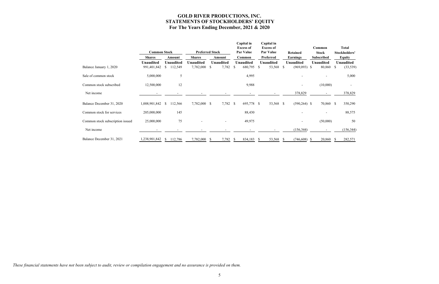# **GOLD RIVER PRODUCTIONS, INC. STATEMENTS OF STOCKHOLDERS' EQUITY For The Years Ending December, 2021 & 2020**

|                                  | <b>Common Stock</b> |               |                  | <b>Preferred Stock</b> |                  |               | Capital in<br><b>Excess of</b><br>Par Value | Capital in<br><b>Excess of</b><br><b>Par Value</b> |    | <b>Retained</b>  |    | Common<br><b>Stock</b> |              | <b>Total</b><br>Stockholders' |
|----------------------------------|---------------------|---------------|------------------|------------------------|------------------|---------------|---------------------------------------------|----------------------------------------------------|----|------------------|----|------------------------|--------------|-------------------------------|
|                                  | <b>Shares</b>       |               | Amount           | <b>Shares</b>          | Amount           |               | Common                                      | Preferred                                          |    | <b>Earnings</b>  |    | <b>Subscribed</b>      |              | <b>Equity</b>                 |
|                                  | Unaudited           |               | <b>Unaudited</b> | Unaudited              | <b>Unaudited</b> |               | <b>Unaudited</b>                            | <b>Unaudited</b>                                   |    | <b>Unaudited</b> |    | <b>Unaudited</b>       |              | <b>Unaudited</b>              |
| Balance January 1, 2020          | 991,401,842         | <sup>\$</sup> | 112,549          | 7,782,000 \$           | 7,782            | <sup>\$</sup> | 680,795                                     | 53,568 \$<br>S                                     |    | $(969,093)$ \$   |    | 80,860                 | <sup>S</sup> | (33, 539)                     |
| Sale of common stock             | 5,000,000           |               | 5                |                        |                  |               | 4,995                                       |                                                    |    |                  |    |                        |              | 5,000                         |
| Common stock subscribed          | 12,500,000          |               | 12               |                        |                  |               | 9,988                                       |                                                    |    |                  |    | (10,000)               |              |                               |
| Net income                       |                     |               |                  |                        |                  |               |                                             |                                                    |    | 378,829          |    |                        |              | 378,829                       |
| Balance December 31, 2020        | 1,008,901,842       | <sup>\$</sup> | 112,566          | 7,782,000 \$           | 7,782 \$         |               | 695,778 \$                                  | 53,568 \$                                          |    | $(590, 264)$ \$  |    | 70,860 \$              |              | 350,290                       |
| Common stock for services        | 205,000,000         |               | 145              |                        |                  |               | 88,430                                      |                                                    |    |                  |    | $\overline{a}$         |              | 88,575                        |
| Common stock subscription issued | 25,000,000          |               | 75               |                        |                  |               | 49,975                                      |                                                    |    |                  |    | (50,000)               |              | 50                            |
| Net income                       |                     |               |                  |                        |                  |               |                                             |                                                    |    | (156, 344)       |    |                        |              | (156, 344)                    |
| Balance December 31, 2021        | ,238,901,842        |               | 112,786          | 7,782,000              | 7,782            | -S            | 834,183                                     | 53,568                                             | -S | (746, 608)       | -S | 20,860                 |              | 282,571                       |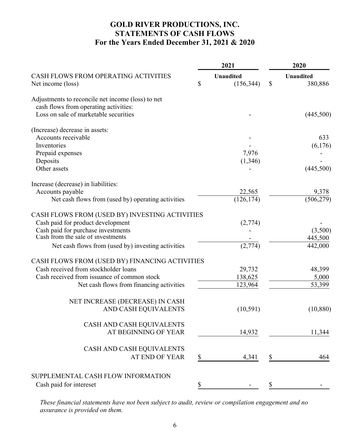# **GOLD RIVER PRODUCTIONS, INC. STATEMENTS OF CASH FLOWS For the Years Ended December 31, 2021 & 2020**

|                                                                                            | 2021                                 | 2020                              |
|--------------------------------------------------------------------------------------------|--------------------------------------|-----------------------------------|
| CASH FLOWS FROM OPERATING ACTIVITIES<br>Net income (loss)                                  | \$<br><b>Unaudited</b><br>(156, 344) | \$<br><b>Unaudited</b><br>380,886 |
| Adjustments to reconcile net income (loss) to net<br>cash flows from operating activities: |                                      |                                   |
| Loss on sale of marketable securities                                                      |                                      | (445,500)                         |
| (Increase) decrease in assets:                                                             |                                      |                                   |
| Accounts receivable                                                                        |                                      | 633                               |
| Inventories                                                                                |                                      | (6,176)                           |
| Prepaid expenses                                                                           | 7,976                                |                                   |
| Deposits                                                                                   | (1,346)                              |                                   |
| Other assets                                                                               |                                      | (445,500)                         |
| Increase (decrease) in liabilities:                                                        |                                      |                                   |
| Accounts payable                                                                           | 22,565                               | 9,378                             |
| Net cash flows from (used by) operating activities                                         | (126, 174)                           | (506, 279)                        |
| CASH FLOWS FROM (USED BY) INVESTING ACTIVITIES                                             |                                      |                                   |
| Cash paid for product development                                                          | (2,774)                              |                                   |
| Cash paid for purchase investments                                                         |                                      | (3,500)                           |
| Cash from the sale of investments                                                          |                                      | 445,500                           |
| Net cash flows from (used by) investing activities                                         | (2,774)                              | 442,000                           |
| CASH FLOWS FROM (USED BY) FINANCING ACTIVITIES                                             |                                      |                                   |
| Cash received from stockholder loans                                                       | 29,732                               | 48,399                            |
| Cash received from issuance of common stock                                                | 138,625                              | 5,000                             |
| Net cash flows from financing activities                                                   | 123,964                              | 53,399                            |
| NET INCREASE (DECREASE) IN CASH                                                            |                                      |                                   |
| AND CASH EQUIVALENTS                                                                       | (10,591)                             | (10, 880)                         |
| CASH AND CASH EQUIVALENTS                                                                  |                                      |                                   |
| AT BEGINNING OF YEAR                                                                       | 14,932                               | 11,344                            |
| CASH AND CASH EQUIVALENTS                                                                  |                                      |                                   |
| <b>AT END OF YEAR</b>                                                                      | \$<br>4,341                          | \$<br>464                         |
| SUPPLEMENTAL CASH FLOW INFORMATION                                                         |                                      |                                   |
|                                                                                            |                                      | \$                                |
| Cash paid for intereset                                                                    | \$                                   |                                   |

*These financial statements have not been subject to audit, review or compilation engagement and no assurance is provided on them.*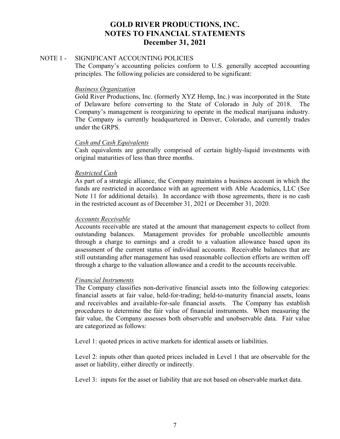#### NOTE 1 - SIGNIFICANT ACCOUNTING POLICIES

The Company's accounting policies conform to U.S. generally accepted accounting principles. The following policies are considered to be significant:

#### *Business Organization*

Gold River Productions, Inc. (formerly XYZ Hemp, Inc.) was incorporated in the State of Delaware before converting to the State of Colorado in July of 2018. The Company's management is reorganizing to operate in the medical marijuana industry. The Company is currently headquartered in Denver, Colorado, and currently trades under the GRPS.

# *Cash and Cash Equivalents*

Cash equivalents are generally comprised of certain highly-liquid investments with original maturities of less than three months.

# *Restricted Cash*

As part of a strategic alliance, the Company maintains a business account in which the funds are restricted in accordance with an agreement with Able Academics, LLC (See Note 11 for additional details). In accordance with those agreements, there is no cash in the restricted account as of December 31, 2021 or December 31, 2020.

#### *Accounts Receivable*

Accounts receivable are stated at the amount that management expects to collect from outstanding balances. Management provides for probable uncollectible amounts through a charge to earnings and a credit to a valuation allowance based upon its assessment of the current status of individual accounts. Receivable balances that are still outstanding after management has used reasonable collection efforts are written off through a charge to the valuation allowance and a credit to the accounts receivable.

# *Financial Instruments*

The Company classifies non-derivative financial assets into the following categories: financial assets at fair value, held-for-trading; held-to-maturity financial assets, loans and receivables and available-for-sale financial assets. The Company has establish procedures to determine the fair value of financial instruments. When measuring the fair value, the Company assesses both observable and unobservable data. Fair value are categorized as follows:

Level 1: quoted prices in active markets for identical assets or liabilities.

Level 2: inputs other than quoted prices included in Level 1 that are observable for the asset or liability, either directly or indirectly.

Level 3: inputs for the asset or liability that are not based on observable market data.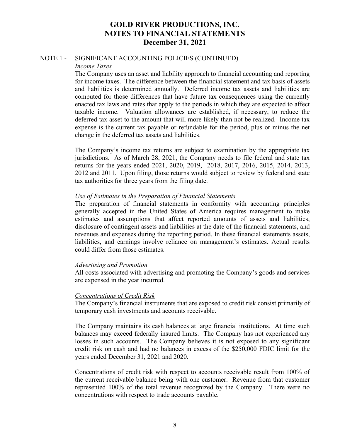#### NOTE 1 - SIGNIFICANT ACCOUNTING POLICIES (CONTINUED) *Income Taxes*

The Company uses an asset and liability approach to financial accounting and reporting for income taxes. The difference between the financial statement and tax basis of assets and liabilities is determined annually. Deferred income tax assets and liabilities are computed for those differences that have future tax consequences using the currently enacted tax laws and rates that apply to the periods in which they are expected to affect taxable income. Valuation allowances are established, if necessary, to reduce the deferred tax asset to the amount that will more likely than not be realized. Income tax expense is the current tax payable or refundable for the period, plus or minus the net change in the deferred tax assets and liabilities.

The Company's income tax returns are subject to examination by the appropriate tax jurisdictions. As of March 28, 2021, the Company needs to file federal and state tax returns for the years ended 2021, 2020, 2019, 2018, 2017, 2016, 2015, 2014, 2013, 2012 and 2011. Upon filing, those returns would subject to review by federal and state tax authorities for three years from the filing date.

#### *Use of Estimates in the Preparation of Financial Statements*

The preparation of financial statements in conformity with accounting principles generally accepted in the United States of America requires management to make estimates and assumptions that affect reported amounts of assets and liabilities, disclosure of contingent assets and liabilities at the date of the financial statements, and revenues and expenses during the reporting period. In these financial statements assets, liabilities, and earnings involve reliance on management's estimates. Actual results could differ from those estimates.

# *Advertising and Promotion*

All costs associated with advertising and promoting the Company's goods and services are expensed in the year incurred.

# *Concentrations of Credit Risk*

The Company's financial instruments that are exposed to credit risk consist primarily of temporary cash investments and accounts receivable.

The Company maintains its cash balances at large financial institutions. At time such balances may exceed federally insured limits. The Company has not experienced any losses in such accounts. The Company believes it is not exposed to any significant credit risk on cash and had no balances in excess of the \$250,000 FDIC limit for the years ended December 31, 2021 and 2020.

Concentrations of credit risk with respect to accounts receivable result from 100% of the current receivable balance being with one customer. Revenue from that customer represented 100% of the total revenue recognized by the Company. There were no concentrations with respect to trade accounts payable.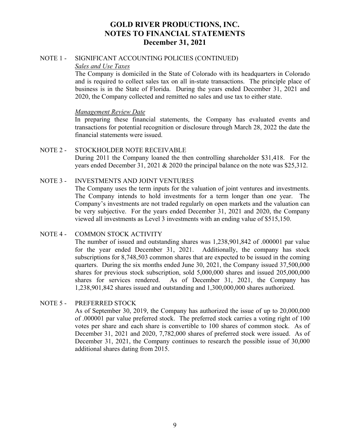#### NOTE 1 - SIGNIFICANT ACCOUNTING POLICIES (CONTINUED) *Sales and Use Taxes*

The Company is domiciled in the State of Colorado with its headquarters in Colorado and is required to collect sales tax on all in-state transactions. The principle place of business is in the State of Florida. During the years ended December 31, 2021 and 2020, the Company collected and remitted no sales and use tax to either state.

# *Management Review Date*

In preparing these financial statements, the Company has evaluated events and transactions for potential recognition or disclosure through March 28, 2022 the date the financial statements were issued.

# NOTE 2 - STOCKHOLDER NOTE RECEIVABLE During 2011 the Company loaned the then controlling shareholder \$31,418. For the years ended December 31, 2021 & 2020 the principal balance on the note was \$25,312.

# NOTE 3 - INVESTMENTS AND JOINT VENTURES

The Company uses the term inputs for the valuation of joint ventures and investments. The Company intends to hold investments for a term longer than one year. The Company's investments are not traded regularly on open markets and the valuation can be very subjective. For the years ended December 31, 2021 and 2020, the Company viewed all investments as Level 3 investments with an ending value of \$515,150.

# NOTE 4 - COMMON STOCK ACTIVITY

The number of issued and outstanding shares was 1,238,901,842 of .000001 par value for the year ended December 31, 2021. Additionally, the company has stock subscriptions for 8,748,503 common shares that are expected to be issued in the coming quarters. During the six months ended June 30, 2021, the Company issued 37,500,000 shares for previous stock subscription, sold 5,000,000 shares and issued 205,000,000 shares for services rendered. As of December 31, 2021, the Company has 1,238,901,842 shares issued and outstanding and 1,300,000,000 shares authorized.

# NOTE 5 - PREFERRED STOCK

As of September 30, 2019, the Company has authorized the issue of up to 20,000,000 of .000001 par value preferred stock. The preferred stock carries a voting right of 100 votes per share and each share is convertible to 100 shares of common stock. As of December 31, 2021 and 2020, 7,782,000 shares of preferred stock were issued. As of December 31, 2021, the Company continues to research the possible issue of 30,000 additional shares dating from 2015.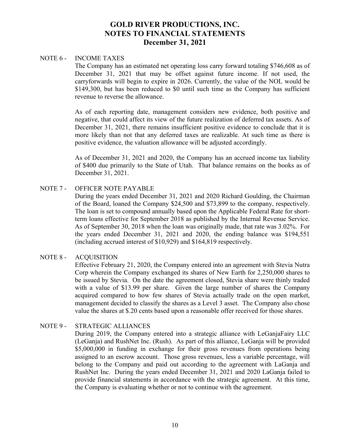#### NOTE 6 - INCOME TAXES

The Company has an estimated net operating loss carry forward totaling \$746,608 as of December 31, 2021 that may be offset against future income. If not used, the carryforwards will begin to expire in 2026. Currently, the value of the NOL would be \$149,300, but has been reduced to \$0 until such time as the Company has sufficient revenue to reverse the allowance.

As of each reporting date, management considers new evidence, both positive and negative, that could affect its view of the future realization of deferred tax assets. As of December 31, 2021, there remains insufficient positive evidence to conclude that it is more likely than not that any deferred taxes are realizable. At such time as there is positive evidence, the valuation allowance will be adjusted accordingly.

As of December 31, 2021 and 2020, the Company has an accrued income tax liability of \$400 due primarily to the State of Utah. That balance remains on the books as of December 31, 2021.

# NOTE 7 - OFFICER NOTE PAYABLE

During the years ended December 31, 2021 and 2020 Richard Goulding, the Chairman of the Board, loaned the Company \$24,500 and \$73,899 to the company, respectively. The loan is set to compound annually based upon the Applicable Federal Rate for shortterm loans effective for September 2018 as published by the Internal Revenue Service. As of September 30, 2018 when the loan was originally made, that rate was 3.02%. For the years ended December 31, 2021 and 2020, the ending balance was \$194,551 (including accrued interest of \$10,929) and \$164,819 respectively.

# NOTE 8 - ACQUISITION

Effective February 21, 2020, the Company entered into an agreement with Stevia Nutra Corp wherein the Company exchanged its shares of New Earth for 2,250,000 shares to be issued by Stevia. On the date the agreement closed, Stevia share were thinly traded with a value of \$13.99 per share. Given the large number of shares the Company acquired compared to how few shares of Stevia actually trade on the open market, management decided to classify the shares as a Level 3 asset. The Company also chose value the shares at \$.20 cents based upon a reasonable offer received for those shares.

# NOTE 9 - STRATEGIC ALLIANCES

During 2019, the Company entered into a strategic alliance with LeGanjaFairy LLC (LeGanja) and RushNet Inc. (Rush). As part of this alliance, LeGanja will be provided \$5,000,000 in funding in exchange for their gross revenues from operations being assigned to an escrow account. Those gross revenues, less a variable percentage, will belong to the Company and paid out according to the agreement with LaGanja and RushNet Inc. During the years ended December 31, 2021 and 2020 LaGanja failed to provide financial statements in accordance with the strategic agreement. At this time, the Company is evaluating whether or not to continue with the agreement.